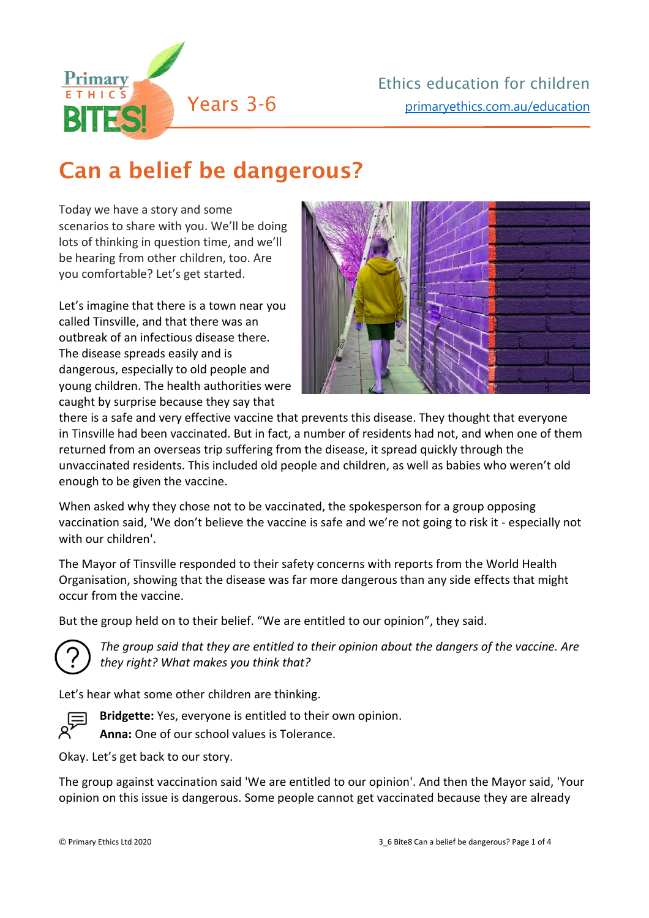

## Can a belief be dangerous?

Today we have a story and some scenarios to share with you. We'll be doing lots of thinking in question time, and we'll be hearing from other children, too. Are you comfortable? Let's get started.

Let's imagine that there is a town near you called Tinsville, and that there was an outbreak of an infectious disease there. The disease spreads easily and is dangerous, especially to old people and young children. The health authorities were caught by surprise because they say that



there is a safe and very effective vaccine that prevents this disease. They thought that everyone in Tinsville had been vaccinated. But in fact, a number of residents had not, and when one of them returned from an overseas trip suffering from the disease, it spread quickly through the unvaccinated residents. This included old people and children, as well as babies who weren't old enough to be given the vaccine.

When asked why they chose not to be vaccinated, the spokesperson for a group opposing vaccination said, 'We don't believe the vaccine is safe and we're not going to risk it - especially not with our children'.

The Mayor of Tinsville responded to their safety concerns with reports from the World Health Organisation, showing that the disease was far more dangerous than any side effects that might occur from the vaccine.

But the group held on to their belief. "We are entitled to our opinion", they said.



*The group said that they are entitled to their opinion about the dangers of the vaccine. Are they right? What makes you think that?*

Let's hear what some other children are thinking.



**Bridgette:** Yes, everyone is entitled to their own opinion.

**Anna:** One of our school values is Tolerance.

Okay. Let's get back to our story.

The group against vaccination said 'We are entitled to our opinion'. And then the Mayor said, 'Your opinion on this issue is dangerous. Some people cannot get vaccinated because they are already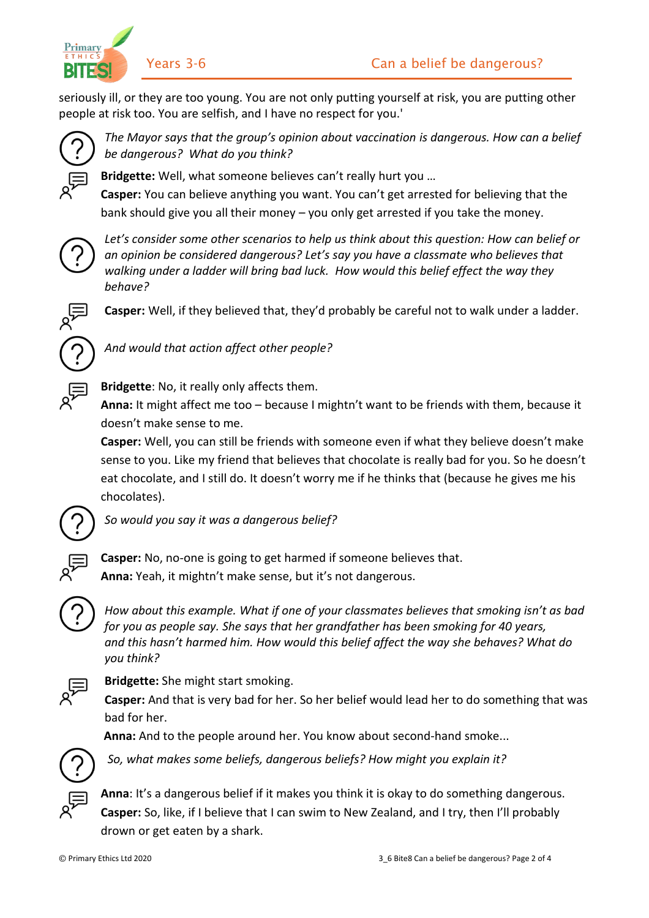

Primary ETHIC

seriously ill, or they are too young. You are not only putting yourself at risk, you are putting other people at risk too. You are selfish, and I have no respect for you.'



*The Mayor says that the group's opinion about vaccination is dangerous. How can a belief be dangerous? What do you think?*

**Bridgette:** Well, what someone believes can't really hurt you …

**Casper:** You can believe anything you want. You can't get arrested for believing that the bank should give you all their money – you only get arrested if you take the money.



*Let's consider some other scenarios to help us think about this question: How can belief or an opinion be considered dangerous? Let's say you have a classmate who believes that walking under a ladder will bring bad luck. How would this belief effect the way they behave?*



**Casper:** Well, if they believed that, they'd probably be careful not to walk under a ladder.



**Bridgette**: No, it really only affects them.

*And would that action affect other people?*

**Anna:** It might affect me too – because I mightn't want to be friends with them, because it doesn't make sense to me.

**Casper:** Well, you can still be friends with someone even if what they believe doesn't make sense to you. Like my friend that believes that chocolate is really bad for you. So he doesn't eat chocolate, and I still do. It doesn't worry me if he thinks that (because he gives me his chocolates).



*So would you say it was a dangerous belief?*



**Casper:** No, no-one is going to get harmed if someone believes that. **Anna:** Yeah, it mightn't make sense, but it's not dangerous.

*How about this example. What if one of your classmates believes that smoking isn't as bad for you as people say. She says that her grandfather has been smoking for 40 years, and this hasn't harmed him. How would this belief affect the way she behaves? What do you think?*

## **Bridgette:** She might start smoking.

**Casper:** And that is very bad for her. So her belief would lead her to do something that was bad for her.

**Anna:** And to the people around her. You know about second-hand smoke...



*So, what makes some beliefs, dangerous beliefs? How might you explain it?*



**Anna**: It's a dangerous belief if it makes you think it is okay to do something dangerous. **Casper:** So, like, if I believe that I can swim to New Zealand, and I try, then I'll probably drown or get eaten by a shark.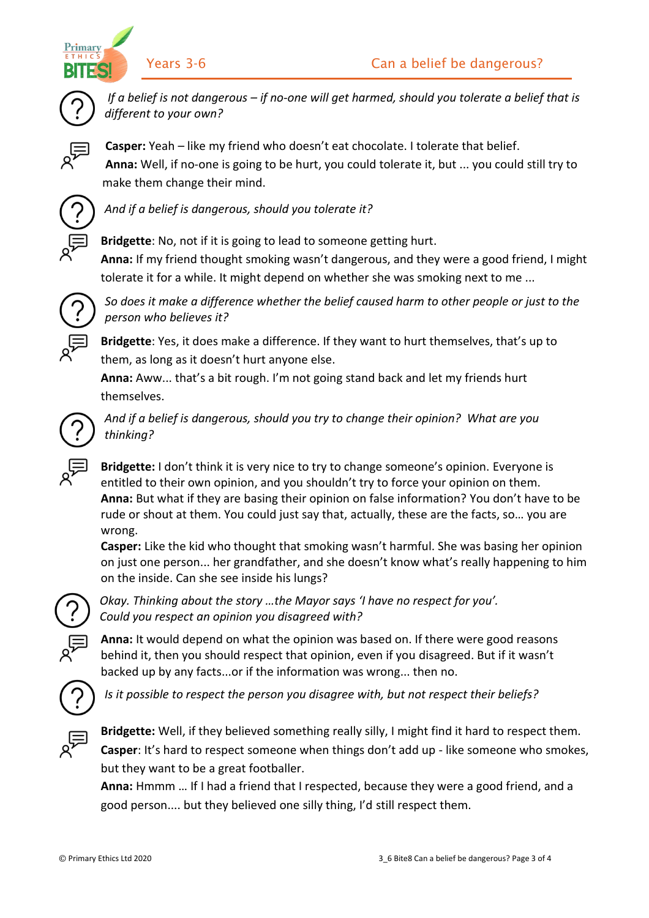



*If a belief is not dangerous – if no-one will get harmed, should you tolerate a belief that is different to your own?*

**Casper:** Yeah – like my friend who doesn't eat chocolate. I tolerate that belief. **Anna:** Well, if no-one is going to be hurt, you could tolerate it, but ... you could still try to make them change their mind.



*And if a belief is dangerous, should you tolerate it?*

**Bridgette**: No, not if it is going to lead to someone getting hurt. **Anna:** If my friend thought smoking wasn't dangerous, and they were a good friend, I might

tolerate it for a while. It might depend on whether she was smoking next to me ...

*So does it make a difference whether the belief caused harm to other people or just to the person who believes it?*

**Bridgette**: Yes, it does make a difference. If they want to hurt themselves, that's up to them, as long as it doesn't hurt anyone else.

**Anna:** Aww... that's a bit rough. I'm not going stand back and let my friends hurt themselves.



*And if a belief is dangerous, should you try to change their opinion? What are you thinking?*

**Bridgette:** I don't think it is very nice to try to change someone's opinion. Everyone is entitled to their own opinion, and you shouldn't try to force your opinion on them. **Anna:** But what if they are basing their opinion on false information? You don't have to be rude or shout at them. You could just say that, actually, these are the facts, so… you are wrong.

**Casper:** Like the kid who thought that smoking wasn't harmful. She was basing her opinion on just one person... her grandfather, and she doesn't know what's really happening to him on the inside. Can she see inside his lungs?



*Okay. Thinking about the story …the Mayor says 'I have no respect for you'. Could you respect an opinion you disagreed with?*

**Anna:** It would depend on what the opinion was based on. If there were good reasons behind it, then you should respect that opinion, even if you disagreed. But if it wasn't backed up by any facts...or if the information was wrong... then no.



*Is it possible to respect the person you disagree with, but not respect their beliefs?*



**Bridgette:** Well, if they believed something really silly, I might find it hard to respect them. **Casper**: It's hard to respect someone when things don't add up - like someone who smokes, but they want to be a great footballer.

**Anna:** Hmmm … If I had a friend that I respected, because they were a good friend, and a good person.... but they believed one silly thing, I'd still respect them.